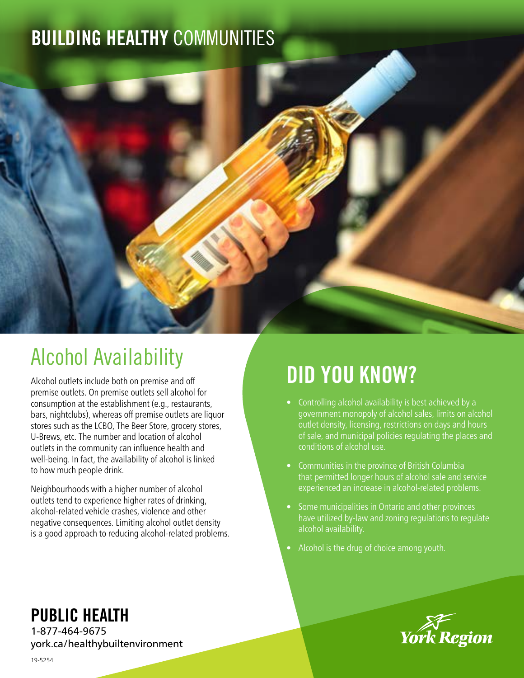# BUILDING HEALTHY COMMUNITIES



# Alcohol Availability

Alcohol outlets include both on premise and off premise outlets. On premise outlets sell alcohol for consumption at the establishment (e.g., restaurants, bars, nightclubs), whereas off premise outlets are liquor stores such as the LCBO, The Beer Store, grocery stores, U-Brews, etc. The number and location of alcohol outlets in the community can influence health and well-being. In fact, the availability of alcohol is linked to how much people drink.

Neighbourhoods with a higher number of alcohol outlets tend to experience higher rates of drinking, alcohol-related vehicle crashes, violence and other negative consequences. Limiting alcohol outlet density is a good approach to reducing alcohol-related problems.

# DID YOU KNOW?

- Controlling alcohol availability is best achieved by a government monopoly of alcohol sales, limits on alcohol outlet density, licensing, restrictions on days and hours of sale, and municipal policies regulating the places and conditions of alcohol use.
- Communities in the province of British Columbia that permitted longer hours of alcohol sale and service experienced an increase in alcohol-related problems.
- Some municipalities in Ontario and other provinces have utilized by-law and zoning regulations to regulate alcohol availability.
- Alcohol is the drug of choice among youth.



### PUBLIC HEALTH

1-877-464-9675 york.ca/healthybuiltenvironment